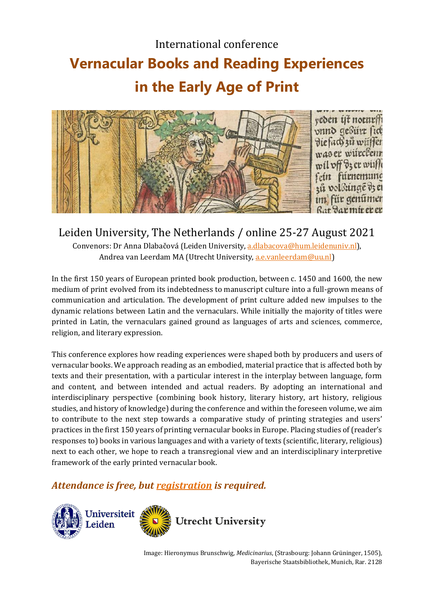# International conference **Vernacular Books and Reading Experiences in the Early Age of Print**



reden ist noturff vnnd gebürt sich die facts zu wütten was er witrecenn wil off de er with fein furnemung zu volstinge dzei im für genümen Rat Jarmirer er

## Leiden University, The Netherlands / online 25-27 August 2021

Convenors: Dr Anna Dlabačová (Leiden University[, a.dlabacova@hum.leidenuniv.nl\)](mailto:a.dlabacova@hum.leidenuniv.nl), Andrea van Leerdam MA (Utrecht University, [a.e.vanleerdam@uu.nl\)](mailto:a.e.vanleerdam@uu.nl)

In the first 150 years of European printed book production, between c. 1450 and 1600, the new medium of print evolved from its indebtedness to manuscript culture into a full-grown means of communication and articulation. The development of print culture added new impulses to the dynamic relations between Latin and the vernaculars. While initially the majority of titles were printed in Latin, the vernaculars gained ground as languages of arts and sciences, commerce, religion, and literary expression.

This conference explores how reading experiences were shaped both by producers and users of vernacular books. We approach reading as an embodied, material practice that is affected both by texts and their presentation, with a particular interest in the interplay between language, form and content, and between intended and actual readers. By adopting an international and interdisciplinary perspective (combining book history, literary history, art history, religious studies, and history of knowledge) during the conference and within the foreseen volume, we aim to contribute to the next step towards a comparative study of printing strategies and users' practices in the first 150 years of printing vernacular books in Europe. Placing studies of (reader's responses to) books in various languages and with a variety of texts (scientific, literary, religious) next to each other, we hope to reach a transregional view and an interdisciplinary interpretive framework of the early printed vernacular book.

## *Attendance is free, but [registration](https://forms.gle/ftW6vz1rxJW1HAFS7) is required.*



Image: Hieronymus Brunschwig, *Medicinarius*, (Strasbourg: Johann Grüninger, 1505), Bayerische Staatsbibliothek, Munich, Rar. 2128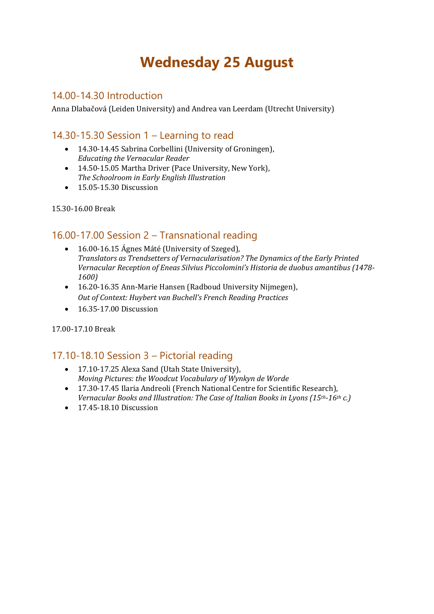## **Wednesday 25 August**

### 14.00-14.30 Introduction

Anna Dlabačová (Leiden University) and Andrea van Leerdam (Utrecht University)

## 14.30-15.30 Session 1 – Learning to read

- 14.30-14.45 Sabrina Corbellini (University of Groningen), *Educating the Vernacular Reader*
- 14.50-15.05 Martha Driver (Pace University, New York), *The Schoolroom in Early English Illustration*
- 15.05-15.30 Discussion

15.30-16.00 Break

## 16.00-17.00 Session 2 – Transnational reading

- 16.00-16.15 Ágnes Máté (University of Szeged), *Translators as Trendsetters of Vernacularisation? The Dynamics of the Early Printed Vernacular Reception of Eneas Silvius Piccolomini's Historia de duobus amantibus (1478- 1600)*
- 16.20-16.35 Ann-Marie Hansen (Radboud University Nijmegen), *Out of Context: Huybert van Buchell's French Reading Practices*
- 16.35-17.00 Discussion

17.00-17.10 Break

## 17.10-18.10 Session 3 – Pictorial reading

- 17.10-17.25 Alexa Sand (Utah State University), *Moving Pictures: the Woodcut Vocabulary of Wynkyn de Worde*
- 17.30-17.45 Ilaria Andreoli (French National Centre for Scientific Research), *Vernacular Books and Illustration: The Case of Italian Books in Lyons (15th-16th c.)*
- 17.45-18.10 Discussion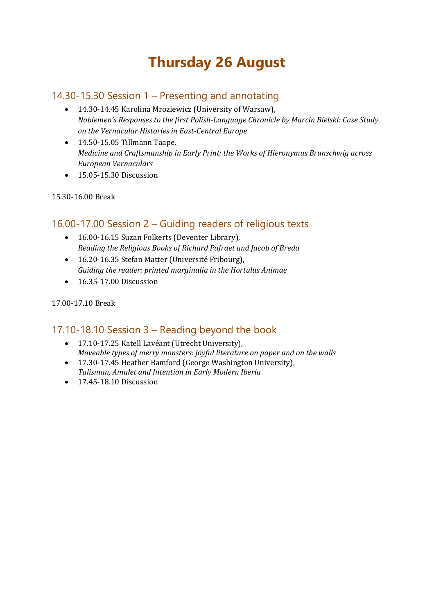## **Thursday 26 August**

## 14.30-15.30 Session 1 – Presenting and annotating

- 14.30-14.45 Karolina Mroziewicz (University of Warsaw), *Noblemen's Responses to the first Polish-Language Chronicle by Marcin Bielski: Case Study on the Vernacular Histories in East-Central Europe*
- 14.50-15.05 Tillmann Taape, *Medicine and Craftsmanship in Early Print: the Works of Hieronymus Brunschwig across European Vernaculars*
- 15.05-15.30 Discussion

#### 15.30-16.00 Break

## 16.00-17.00 Session 2 – Guiding readers of religious texts

- 16.00-16.15 Suzan Folkerts (Deventer Library), *Reading the Religious Books of Richard Pafraet and Jacob of Breda*
- 16.20-16.35 Stefan Matter (Université Fribourg), *Guiding the reader: printed marginalia in the Hortulus Animae*
- 16.35-17.00 Discussion

#### 17.00-17.10 Break

## 17.10-18.10 Session 3 – Reading beyond the book

- 17.10-17.25 Katell Lavéant (Utrecht University), *Moveable types of merry monsters: joyful literature on paper and on the walls*
- 17.30-17.45 Heather Bamford (George Washington University), *Talisman, Amulet and Intention in Early Modern Iberia*
- $\bullet$  17.45-18.10 Discussion